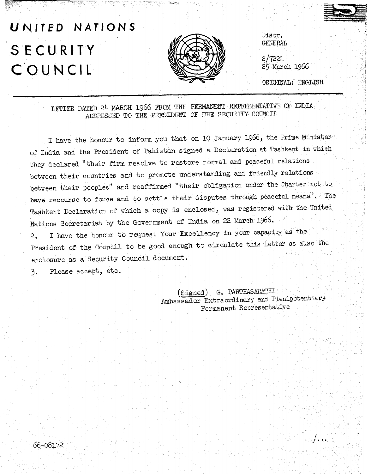# UNITED NATIONS SECURITY **COUNCIL**



Distr. GENERAL

 $S/7221$ 25 March 1966

ORIGINAL: ENGLISH

,,. .) ,, ..,,".,

 $/$ ...

'. in the control

LETTER DATED 24 MARCH 1966 FROM THE PERMANENT REPRESENTATIVE OF INDIA ADDRESSED TO THE PRESIDENT OF THE SECURITY COUNCIL

I have the honour to inform you that on 10 January 1966, the Prime Minister, of India and the President of Pakistan signed a Declaration at Tashkent in which they declared "their firm resolve to restore normal and peaceful relations between their countries and to promote understanding and friendly relations between their peoples" and reaffirmed "their obligation under the Charter not to have recourse to force and to settle their disputes through peaceful means". The Tashkent Declaration of which a copy is enclosed, was registered with the United Nations Secretariat by the Government of India on 22 March 1966, 2. I have the honour to request Your Excellency in your capacity'as the President of the Council to be good enough to circulate this letter as also the enclosure as a Security Council document.

3. Please accept, etc.

(Signed) G. PARTHASARATHI (Signed) G. FANILADAMALIA Permanent Representative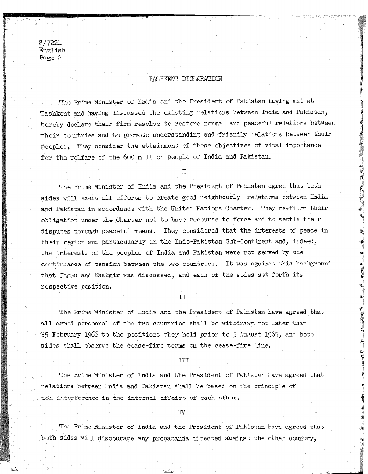s/7221 English Page 2

## TASHKENT DECLARATION

The Prime Minister of India and the President of Pakistan having met at Tashkent and having discussed the existing relations between India and Pakistan, hereby declare their firm resolve to restore normal and peaceful relations between their countries and to promote understanding and friendly relations between their peoples. They consider the attainment of these objectives of vital importance for the welfare of the 600 million people of India and Pakistan.

I

The Prime Minister of India and the President of Pakistan agree that both sides will exert all efforts to create good neighbourly relations between India and Pakistan in accordance with the United Nations Charter. They reaffirm their obligation under the Charter not to have recourse to force and to settle their disputes through peaceful means. They considered that the interests of peace in 8 their region and particularly in the Indo-Pakistan Sub-Continent and, indeed, the interests of the peoples of India and Pakistan were not served by the continuance of tension between the two countries. It was against this background that Jammu and Kashmir was discussed, and each of the sides set forth its 1 respectively and the studies of the state of the state of the state position of the state of the state of the state of the state of the state of the state of the state of the state of the state of the state of the state of in the contract of the contract of the contract of the contract of the contract of the contract of the contract<br>In the contract of the contract of the contract of the contract of the contract of the contract of the contrac

The Prime Minister of India and the President of Pakistan have agreed that ,F! The Prime Minister of India and the President of Pakistan have agreed that<br>all armed personnel of the two countries shall be withdrawn not later than 25 February 1966 to the positions they held prior to 5 August 1965, and both shall open the cease-fire terms only the cease-fire terms of the cease-fire cease-fire cease-fire line,  $\epsilon$  $\frac{1}{2}$  where  $\frac{1}{2}$  is  $\frac{1}{2}$  and  $\frac{1}{2}$  and  $\frac{1}{2}$  and  $\frac{1}{2}$  and  $\frac{1}{2}$  and  $\frac{1}{2}$  and  $\frac{1}{2}$  and  $\frac{1}{2}$  and  $\frac{1}{2}$  and  $\frac{1}{2}$  and  $\frac{1}{2}$  and  $\frac{1}{2}$  and  $\frac{1}{2}$  and  $\frac{1}{2}$ 

**TIT** 

The Prime Minister'of India and the President of Pakistan have agreed that k

The Prime Minister of India and the President of Pakistan have agreed that relations between India and Pakistan shall be based on the principle of non-interference in the internal affairs of each other.

 $TV$ 

The Prime Minister of India and the President of Pakistan have agreed that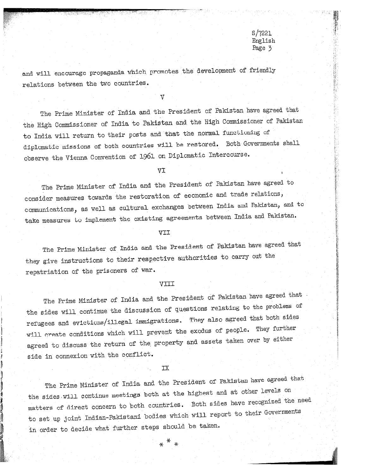## $S/7221$ English Page 3

and will encourage propaganda which promotes the development of friendly relations between the two countries.

v

The Prime Minister of India and the President of Pakistan have agreed that the High Commissioner of India to Pakistan and the High Commissioner of Pakistan to India will return to their posts and that the normal functioning of diplomatic missions of both countries will be restored. Both Governments shall observe the Vienna Convention of 1961 on Diplomatic Intercourse.

VI and the contract of the contract of the contract of the contract of the contract of the contract of the contract of the contract of the contract of the contract of the contract of the contract of the contract of the con

The Prime Minister of India and the President of Pakistan have agreed to consider measures towards the restoration of economic and trade relations, communications, as well as cultural exchanges between India and Pakistan, and to take measures to implement the existing agreements between India and Pakistan.

### VII

The Prime Minister of India and the President of Pakistan have agreed that they give instructions to their respective authorities to carry out the repatriation of the prisoners of war.

#### VIII

The Prime Minister of India and the President of Pakistan have agreed that the sides will continue the discussion of questions relating to the problems of refugees and evictions/illegal immigrations. They also agreed that both sides will create conditions which will prevent the exodus of people. They further agreed to discuss the return of the property and assets taken over by either side in connexion with the conflict.

TX

The Prime Minister of India and the President of Pakistan have agreed that the sides will continue meetings both at the highest and at other levels on matters of direct concern to both countries, Both sides have recognized the need matters of direct concern to bodi compare which was a part to their Governments in order the further steps should be taken the taken of the taken, when the taken of the taken, the taken, the taken, the taken, the taken, the taken, the taken, the taken, the taken, the taken, the taken, the taken, the t

 $* * *$